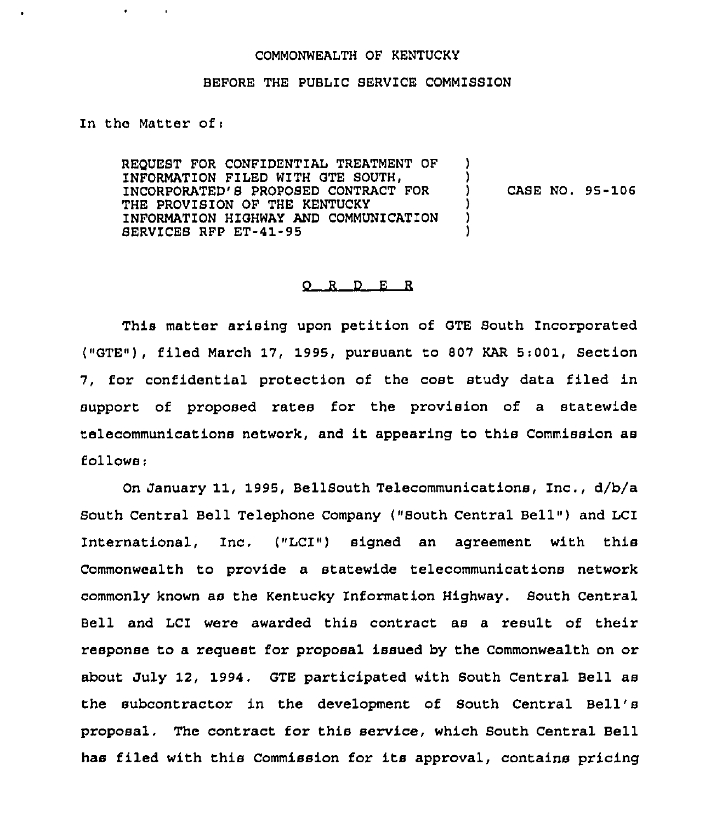## COMMONWEALTH OF KENTUCKY

## BEFORE THE PUBLIC SERVICE COMM1SSION

In the Matter of <sup>i</sup>

 $\bullet$  .

REQUEST FOR CONFIDENTIAL TREATMENT OF INFORMATION FILED WITH GTE SOUTH, 1NCORPORATED'S PROPOSED CONTRACT FOR THE PROVISION OF THE KENTUCKY INFORMATION HIGHWAY AND COMMUNICATION SERV1CES RFP ET-41-95 ) )<br>) ) CASE NO. 95-106 ) ) )

## 0 <sup>R</sup> <sup>D</sup> E <sup>R</sup>

This matter arising upon petition of GTE South Incorporated ("GTE"), filed March 17, 1995, pursuant to 807 KAR 5:001, Section 7, for confidential protection of the cost study data filed in support of proposed rates for the provision of a statewide telecommunications network, and it appearing to this Commission as follows:

On January 11, 1995, BellSouth Telecommunications, Inc., d/b/a South Central Bell Telephone Company ("South Central Bell") and LCI International, Inc, ("LCI") signed an agreement with this Commonwealth to provide a statewide telecommunications network commonly known as the Kentucky Information Highway. South Central Bell and LCI were awarded this contract as a result of their response to a request for proposal issued by the Commonwealth on or about July 12, 1994. GTE participated with South Central Bell as the subcontractor in the development of South Central Bell' proposal, The contract for this service, which South Central Bell has filed with this Commission for its approval, contains pricing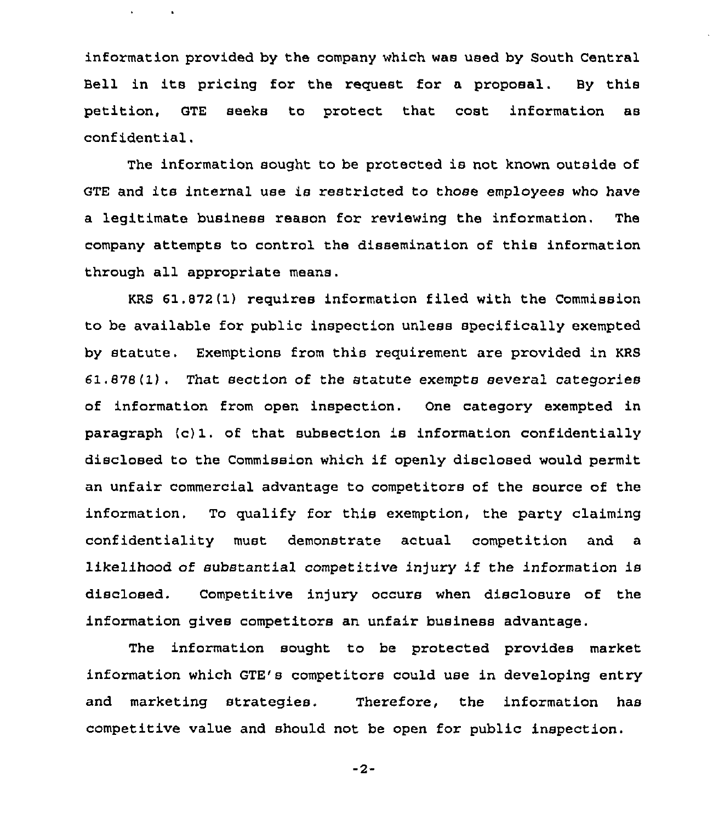information provided by the company which was used by South Central Bell in its pricing for the request for <sup>a</sup> proposal. By this petition, GTE seeks to protect that cost information as confidential.

 $\mathbf{A}^{\mathrm{eff}}$ 

 $\sim 100$ 

The information sought to be protected is not known outside of GTE and its internal use is restricted to those employees who have a legitimate business reason for reviewing the information. The company attempts to control the dissemination of this information through all appropriate means.

KRS 61.872(1) requires information filed with the Commission to be available for public inspection unless specifically exempted by statute. Exemptions from this requirement are provided in KRS 61 . 878 (1) . That section of the statute exempts several categories of information from open inspection. One category exempted in paragraph (c) 1. of that subsection is information confidentially disclosed to the Commission which if openly disclosed would permit an unfair commercial advantage to competitors of the source of the information. To qualify for this exemption, the party claiming confidentiality must demonstrate actual competition and a likelihood of substantial competitive injury if the information is disclosed. Competitive injury occurs when disclosure of the information gives competitors an unfair business advantage.

The information sought to be protected provides market information which GTE's competitors could use in developing entry and marketing strategies. Therefore, the information has competitive value and should not be open for public inspection.

 $-2-$